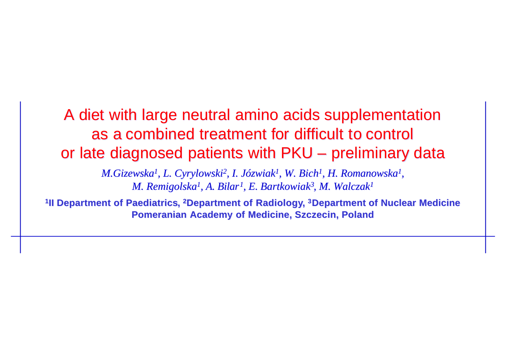A diet with large neutral amino acids supplementation A diet with large neutral amino acids supplementation as a combined treatment for difficult to control as a combined treatment for difficult to control or late diagnosed patients with PKU - preliminary data

> M.Gizewska<sup>1</sup>, L. Cyrylowski<sup>2</sup>, I. Józwiak<sup>1</sup>, W. Bich<sup>1</sup>, H. Romanowska<sup>1</sup>, M. Remigolska<sup>1</sup>, A. Bilar<sup>1</sup>, E. Bartkowiak<sup>3</sup>, M. Walczak<sup>1</sup>

<sup>1</sup>II Department of Paediatrics, <sup>2</sup>Department of Radiology, <sup>3</sup>Department of Nuclear Medicine **Pomeranian Academy of Medicine, Szczecin, Poland Pomeranian Academy of Medicine, Szczecin, Poland**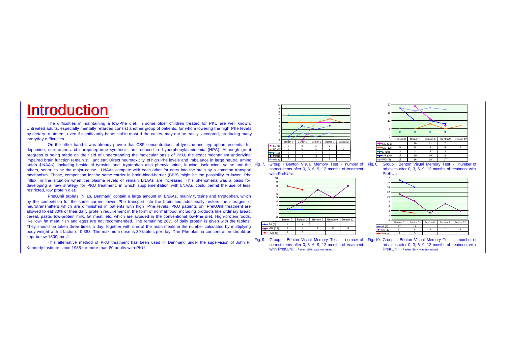## **Introduction**

The difficulties in maintaining a low-Phe diet, in some older children treated for PKU are well known. Untreated adults, especially mentally retarded consist another group of patients, for whom lowering the high Phe levels by dietary treatment, even if significantly beneficial in most of the cases, may not be easily accepted, producing many everyday difficulties.

On the other hand it was already proven that CSF concentrations of tyrosine and tryptophan, essential for dopamine, serotonine and norepinephrine synthesis, are reduced in hyperphenylalaninemia (HPA). Although great progress is being made on the field of understanding the molecular basis of PKU, the exact mechanism underlying impaired brain function remain still unclear. Direct neurotoxicity of high Phe levels and imbalance in large neutral amino impaired brain function remain still unclear. Direct neurotoxicity of high Phe levels and imbalance in large neutral amino and the solution of the solution of the solution of the solution of the solution of the solution of others, seem to be the major cause. LNAAs compete with each other for entry into the brain by a common transport mechanism. Those, competition for the same carrier in brain-blood-barrier (BBB) might be the possibility to lower Phe influx, in the situation when the plasma levels of remain LNAAs are increased. This phenomena was a basis for developing a new strategy for PKU treatment, in which supplementation with LNAAs could permit the use of less restricted, low protein diet.

PreKUnil tablets (Nilab, Denmark) contain a large amount of LNAAs, mainly tyrosine and tryptophan, which by the competition for the same carrier, lower Phe transport into the brain and additionally restore the storages of neurotransmitters which are diminished in patients with high Phe levels. PKU patients on PreKUnil treatment are allowed to eat 80% of their daily protein requirement in the form of normal food, including products like ordinary bread, cereal, pasta, low-protein milk, fat meat, etc, which are avoided in the conventional low-Phe diet. High-protein foods, like low- fat meat, fish and eggs are not recommended. The remaining 20% of daily protein is given with the tablets. They should be taken three times a day, together with one of the main meals in the number calculated by multiplying body weight with a factor of 0.388. The maximum dose is 30 tablets per day. The Phe plasma concentration should be kept below 1500µmol/l.

This alternative method of PKU treatment has been used in Denmark, under the supervision of John F. Kennedy Institute since 1985 for more than 80 adults with PKU.







Fig. 9. Group II Benton Visual Memory Test - number of Fig. 10. Group II Benton Visual Memory Test - number of correct items after 0, 3, 6, 9, 12 months of treatment With PreKUnil. \* Patient SMN was not tested.



mistakes after 0, 3, 6, 9, 12 months of treatment with PreKUnil



mistakes after 0, 3, 6, 9, 12 months of treatment with PreKUnil. \* Patient SMN was not tested.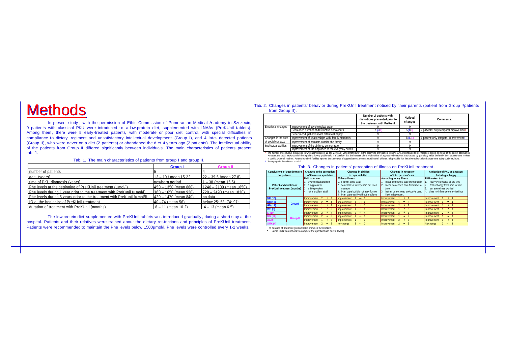# **Methods**

In present study , with the permission of Ethic Commission of Pomeranian Medical Academy in Szczecin, 9 patients with classical PKU were introduced to a low-protein diet, supplemented with LNAAs (PreKUnil tablets). Among them, there were 5 early-treated patients, with moderate or poor diet control, with special difficulties in compliance to dietary regiment and unsatisfactory intellectual development (Group I), and 4 late- detected patients (Group II), who were never on a diet (2 patients) or abandoned the diet 4 years ago (2 patients). The intellectual ability of the patients from Group II differed significantly between individuals. The main characteristics of patients present tab. 1.

#### Tab. 1. The main characteristics of patients from group I and group II.

|                                                                          | <b>Group I</b>           | <b>Group II</b>           |
|--------------------------------------------------------------------------|--------------------------|---------------------------|
| number of patients                                                       |                          |                           |
| age (years)                                                              | $13 - 19$ (mean 15.2)    | $22 - 39.5$ (mean 27.8)   |
| time of PKU diagnosis (years).                                           | Inewborn period          | $1 - 38$ (mean $15.5$ )   |
| Phe levels at the beginning of PreKUnil treatment (umol/l).              | $1450 - 1350$ (mean 860) | $1240 - 2100$ (mean 1650) |
| Phe levels during 1 year prior to the treatment with PreKunil (umol/l)   | $360 - 1650$ (mean 920)  | $1720 - 2490$ (mean 1830) |
| Phe levels during 5 years prior to the treatment with PreKunil (umol/l). | $420 - 1470$ (mean 840)  | no data                   |
| IO at the beginning of PreKUnil treatment.                               | $40 - 74$ (mean 56)      | below 25: 58: 74: 97:     |
| duration of treatment with PreKUnil (months)                             | $8 - 11$ (mean 10.2)     | $4 - 13$ (mean 6.5)       |

The low-protein diet supplemented with PreKUnil tablets was introduced gradually , during a short stay at the hospital. Patients and their relatives were trained about the dietary res trictions and principles of PreKUnil treatment. Patients were recommended to maintain the Phe levels below 1500umol/l. Phe levels were controlled every 1-2 weeks.

#### Tab. 2. Changes in patients' behavior during PreKUnil treatment noticed by their parents (patient from Group I/patients from Group II).

|                        |                                                    | Number of patients with<br>distortions presented prior to<br>the treatment with PreKunil | <b>Noticed</b><br>changes | Comments:                                         |
|------------------------|----------------------------------------------------|------------------------------------------------------------------------------------------|---------------------------|---------------------------------------------------|
| Emotional changes      | Improvement of psychological state                 |                                                                                          |                           |                                                   |
|                        | Decreased number of destructive behaviours         | 4B                                                                                       | 5(4)                      | 2 patients: only temporal improvement             |
|                        | Better mood, patients more often feel happy        |                                                                                          |                           |                                                   |
| Changes in the area    | Improvement of relationships with family members   |                                                                                          | 844                       | 1 patient: only temporal improvement <sup>2</sup> |
| of social contacts     | Improvement of contacts outside the family         |                                                                                          |                           |                                                   |
| Intellectual abilities | Improvement of the ability to concentrate          |                                                                                          |                           |                                                   |
|                        | Improvement of the approach to the everyday duties |                                                                                          |                           |                                                   |

The number of destructive behavioursent of the object och to the everyday dullers. The heighning of treatment with PreKunil, if compared to pre-treatment period, to higher at the end of observation.<br>However, the social bac 2. Younger patient mentioned in point

| rab. 3. Changes in patients' perception or imitess on Frenomi treatment.                                                                                                                                                                         |                 |                                                                                                                                                          |                                                                                                                                                                                    |                                                                                                                                                                 |                                                                                                                                          |  |
|--------------------------------------------------------------------------------------------------------------------------------------------------------------------------------------------------------------------------------------------------|-----------------|----------------------------------------------------------------------------------------------------------------------------------------------------------|------------------------------------------------------------------------------------------------------------------------------------------------------------------------------------|-----------------------------------------------------------------------------------------------------------------------------------------------------------------|------------------------------------------------------------------------------------------------------------------------------------------|--|
| <b>Conclusions of questionnaire</b><br>for patients                                                                                                                                                                                              |                 | Changes in the perception<br>of illness as a problem                                                                                                     | <b>Changes in abilities</b><br>to cope with PKU                                                                                                                                    | <b>Changes in necessity</b><br>of third persons' care                                                                                                           | Attribution of PKU as a reason<br>for being unhappy                                                                                      |  |
| With my illness:<br><b>PKU</b> is for me:<br>a very difficult problem<br>. I cannot cope at all<br>2. a big problem<br>Patient and duration of<br><b>PreKUnil treatment (months)</b><br>3. a little problem<br>manage<br>4. not a problem at all |                 | sometimes it is very hard but I can<br>I can cope but it is not easy for me<br>I can cope easily without problems                                        | According to my illness:<br>. I need someone's care permanently<br>2. I need someone's care from time to<br>time<br>3. I rather do not need anybody's care.<br>I feel independent. | PKU makes, that<br>1. I feel very unhappy all the time<br>2. I feel unhappy from time to time<br>Lam sometimes worried<br>4. It has no influence on my feelings |                                                                                                                                          |  |
| <b>MR (10)</b><br>KG(11)<br>GD (12)<br><b>WG (8)</b>                                                                                                                                                                                             | <b>Group I</b>  | <i>Improvement</i><br>$\rightarrow$ 4<br>Improvement <sub>2</sub><br>$\rightarrow$ 4<br>$\rightarrow$ 3<br>Improvement<br>$\rightarrow$ 3<br>Improvement | <b>®</b> 2<br>Improvement<br>$ \otimes$ 2<br>Improvement<br>$\rightarrow$ 3<br>Improvement<br>$\rightarrow$ 3<br>I Improvement                                                     | $\rightarrow$ 2<br>Improvement<br>$\rightarrow$ 3<br>Improvement 1<br>Improvement <sub>2</sub><br>$\rightarrow$ 3<br>$\rightarrow$ 3<br>Improvement             | Improvement 2<br>$\rightarrow$ 4<br>Improvement 2<br>$\rightarrow$ 4<br>$\rightarrow$ 3<br>Improvement<br>$\rightarrow$ 3<br>Improvement |  |
| LI(10)<br>MM (12)<br>AA (5)<br>SMK(4)                                                                                                                                                                                                            | <b>Group II</b> | $\rightarrow$ 4<br>Improvement<br>$\rightarrow$ 3<br>Improvement<br>$\rightarrow$ 3<br>Improvement<br>$\rightarrow$ 3<br>Improvement                     | $\rightarrow$ 4<br>Improvement<br>$\rightarrow$ 3<br>I Improvement<br>$\rightarrow$ 3<br>I Improvement<br>No change<br>$=$                                                         | $\rightarrow$ 3<br>Improvement<br>$\rightarrow$ 2<br>Improvement<br>Improvement 2<br>$\rightarrow$ 3<br>Improvement <sub>2</sub><br>$\rightarrow$ 3             | $\rightarrow$ 4<br>Improvement<br>Improvement<br>$\rightarrow$ 3<br>Improvement<br>$\rightarrow$ 3<br>No change<br>$3 =$                 |  |

#### Tab. 3. Changes in patients' perception of illness on PreKL Inil treatment.

The duration of treatment (in months) is shown in the brackets.

**\*** Patient SMN was not able to complete the questionnaire due to low IQ.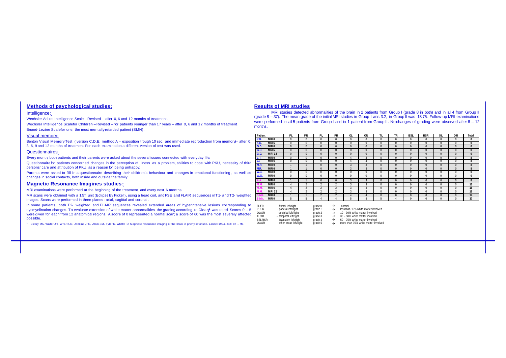## **Methods of psychological studies:**

## Intelligence:

Wechsler Adults Intelligence Scale – Revised – after 0, 6 and 12 months of treatment.

Wechsler Intelligence Scalefor Children – Revised – for patients younger than 17 years – after 0, 6 and 12 months of treatment. Brunet- Lezine Scalefor one, the most mentally-retarded patient (SMN).

### Visual memory:

Benton Visual Memory Test ( version C,D,E; method A – exposition trough 10 sec. and immediate reproduction from memory)– after 0, 3, 6, 9 and 12 months of treatment. For each examination a different version of test was used.

### Questionnaires:

Every month, both patients and their parents were asked about the several issues connected with everyday life.

Questionnaire for patients concerned: changes in the perception of illness as a problem, abilities to cope with PKU, necessity of third persons' care and attribution of PKU, as a reason for being unhappy.

Parents were asked to fill in a questionnaire describing their children's behaviour and changes in emotional functioning, as well as changes in social contacts, both inside and outside the family.

## **Magnetic Resonance Imagines studies:**

MRI examinations were performed at the beginning of the treatment, and every next 6 months.

MR scans were obtained with a 1.5T unit (Eclipse by Picker), using a head coil, and FSE and FLAIR sequences inT1- and T2- weighted images. Scans were performed in three planes : axial, sagittal and coronal.

In some patients, both T<sub>2</sub>- weighted and FLAIR sequences revealed extended areas of hyperintensive lesions corresponding to dysmyelination changes. To evaluate extension of white matter abnormalities, the grading according to Cleary was used. Scores  $0 - 5$ were given for each from 12 anatomical regions. A score of 0 represented a normal scan; a score of 60 was the most severely affected possible.

<sup>1</sup> Cleary MA, Walter JH, Wraith JE, Jenkins JPR, Alani SM, Tyler K, Whittle D; Magnetic resonance imaging of the brain in phenylketonuria, Lancet 1994, 344: 87 - 90

### **Results of MRI studies**

MRI studies detected abnormalities of the brain in 2 patients from Group I (grade 8 in both) and in all 4 from Group II (grade 8 – 37). The mean grade of the initial MRI studies in Group I was 3.2, in Group II was 18.75. Follow-up MRI examinations were performed in all 5 patients from Group I and in 1 patient from Group II. No changes of grading were observed after 6 – 12 months .

| Patient                         | FL       | FR       | PL           | PR       | <b>OL</b>     | OR       | ΤL           | <b>TR</b>    | <b>BSL</b> | <b>BSR</b>   | $\overline{0}$ | OR           | <b>Total</b> |
|---------------------------------|----------|----------|--------------|----------|---------------|----------|--------------|--------------|------------|--------------|----------------|--------------|--------------|
| K.G.<br>MRI <sub>0</sub>        | $\Omega$ | $\Omega$ | $\mathbf{0}$ | $\Omega$ | $\Omega$      | $\Omega$ | $\mathbf{0}$ | $\Omega$     | $\Omega$   |              | $\mathbf{0}$   | $\mathbf{0}$ | $\bf{0}$     |
| K.G.<br>MRI 6                   | $\Omega$ |          | U            | u        | $\Omega$      | u        | u            |              |            |              | U              | 0            | $\bf{0}$     |
| G.D.<br>MRI 0                   | $\Omega$ |          | <b>U</b>     | u        | $\cup$        | $\cup$   | u            |              |            |              | $\cup$         | $\bf{0}$     | $\bf{0}$     |
| G.D.<br>MRI 6                   | $\Omega$ |          | <b>U</b>     | u        | $\cup$        | $\Omega$ | u            | u            |            |              | U              | $\bf{0}$     | $\bf{0}$     |
| G.D.<br><b>MRI12</b>            | $\Omega$ | U        | <b>U</b>     | u        | U             | $\cup$   | ш            | υ            |            |              | U              | $\bf{0}$     | $\bf{0}$     |
| MRI <sub>0</sub><br>L.I.        |          |          |              |          |               |          |              |              |            |              |                | $\Omega$     | 8            |
| MRI 6<br>LI.                    | U        | u        | U            | U        | 4             |          | u            | u            |            |              | U              | 0            | 8            |
| M.R.<br>MRI <sub>0</sub>        |          |          | $\Omega$     | $\Omega$ | $\mathcal{R}$ |          | $\Omega$     | $\Omega$     |            |              | $\Omega$       | $\Omega$     | 8            |
| M.R.<br>MRI <sub>6</sub>        |          |          | $\theta$     | $\Omega$ | $\mathcal{R}$ | 3        | $\theta$     | $\Omega$     |            |              | $\mathbf{0}$   | $\theta$     | 8            |
| <b>W.G.</b><br>MRI <sub>0</sub> | $\Omega$ | $\Omega$ | $\mathbf{0}$ | 0        | $\Omega$      | $\Omega$ | $\mathbf{0}$ | $\Omega$     |            |              | $\mathbf{0}$   | $\mathbf{0}$ | $\bf{0}$     |
| MRI <sub>6</sub><br>W.G.        | $\Omega$ | $\Omega$ | $\mathbf{0}$ | 0        | $\Omega$      | $\Omega$ | $\theta$     | $\Omega$     |            |              | $\mathbf{0}$   | $\mathbf{0}$ | $\bf{0}$     |
| MRI 0<br>A.A.                   |          |          | $\cup$       | u        |               |          | <b>U</b>     | $\cup$       |            |              | $\Omega$       | $\Omega$     | 8            |
| MRI <sub>0</sub><br>IVI. IVI.   | 4        | $\sim$   | $\hat{ }$    | $\gamma$ | 3             | 3        | $\mathbf{0}$ | $\mathbf{0}$ | $\Omega$   | $\mathbf{0}$ | $\mathbf{0}$   | $\mathbf{0}$ | 16           |
| MRI <sub>6</sub><br>M.M.        | 4        | $\sim$   | $\hat{ }$    | $\gamma$ | 3             | 3        | $\mathbf{0}$ | $\Omega$     | $\Omega$   | $\Omega$     | $\mathbf{0}$   | $\mathbf{0}$ | 16           |
| <b>MRI12</b><br>M.M.            | 4        | $\sim$   | $\hat{ }$    | $\gamma$ | 3             | 3        | $\mathbf{0}$ | $\Omega$     | $\Omega$   | $\Omega$     | $\mathbf{0}$   | $\mathbf{0}$ | 16           |
| MRI <sub>0</sub><br>S.MK        |          |          | $\gamma$     | $\gamma$ | Δ             | Δ        | $\Omega$     | $\Omega$     | $\Omega$   | $\Omega$     | $\Omega$       | $\Omega$     | 14           |
| MRI <sub>0</sub><br>S.MN        | b.       | b.       | 4            |          | b             | b.       | 5            |              |            | $\Omega$     | $\mathbf{0}$   | $\Omega$     | 37           |

| FI /FR             | - frontal left/right     | grade 0 | → | normal                              |
|--------------------|--------------------------|---------|---|-------------------------------------|
| PI /PR             | - parietal left/right    | grade 1 | → | less than 10% white matter involved |
| OL/OR              | - occipital left/right   | grade 2 |   | 10 - 30% white matter involved      |
| TI /TR             | - temporal left/right    | grade 3 | → | 30 - 50% white matter involved      |
| <b>BSI/BSR</b>     | - brainstem left/right   | grade 4 | → | 50 - 75% white matter involved      |
| O <sub>1</sub> /OR | - other areas left/right | grade 5 |   | more than 75% white matter involved |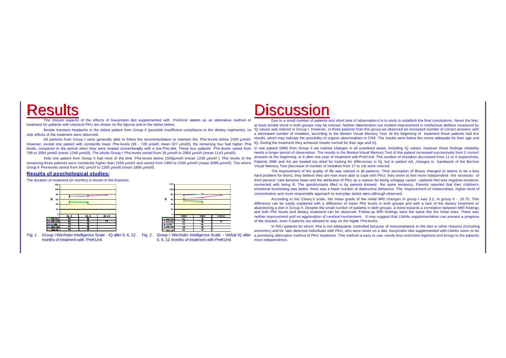# **Results**

The chosen aspects of the effects of low-protein diet supplemented with PreKUnil tablets as an alternative method of treatment for patients with classical PKU are shown on the figures and in the tables below.

Beside transient headache in the oldest patient from Group II (possible insufficient compliance to the dietary regiments), no side effects of the treatment were observed.

All patients from Group I were generally able to follow the recommendation to maintain the Phe levels below 1500 µmol/l. However, except one patient with constantly lower Phe levels (39 - 728 µmol/l, mean 327 µmol/l), the remaining four had higher Phe levels, compared to the period when they were treated conventionally with a low-Phe diet. These four patients' Phe levels varied from In one patient (MM) from Group II we noticed changes in all examined areas, including IQ 799 to 2084 µmol/l (mean 1346 µmol/l). The whole Group I Phe levels varied from 39 µmol/l to 2084 µmol/l (mean 1143 µmol/l).

Only one patient from Group II had most of the time Phe levels below 1500µmol/l (mean 1238 µmol/l ). Phe levels of the remaining three patients were constantly higher than 1500 µmol/l and varied from 1960 to 2260 µmol/l (mean 2090 µmol/l). The whole Group II Phe levels varied from 941 µmol/l to 2260 µmol/l (mean 1806 µmol/l).

### **Results of psychological studies:**

The duration of treatment (in months) is shown in the brackets.





Fig. 1. Group I Wechsler Intelligence Scale - IQ after 0, 6, 12 Fig. 2. Group I Wechsler Intelligence Scale - Verbal IQ after months of treatment with PreKUnil.

0, 6, 12 months of treatment with PreKUnil.

# **Discussion**

Due to a small number of patients and short time of observation it is to early to establish the final conclusions. Never the less, at least similar trend in both groups may be noticed. Neither deterioration nor evident improvement in intellectual abilities measured by IQ values was noticed in Group I. However, in three patients from this group we observed an increased number of correct answers with a decreased number of mistakes, according to the Benton Visual Memory Test. At the beginning of treatment these patients had the results, which may indicate the possibility of organic abnormalities in CNS. The results were below the norms adequate for their age and IQ. During the treatment they achieved results normal for their age and IQ.

needs a longer period of observation. The results in the Benton Visual Memory Test of this patient increased successively from 2 correct answers at the beginning, to 8 after one year of treatment with PreKUnil. The number of mistakes decreased from 11 to 4 respectively. Patients SMK and AA are treated too short for looking for differences in IQ, but in patient AA, changes in handiwork of the Benton Visual Memory Test (decrease of number of mistakes from 17 to 14) were noticed.

The improvement of the quality of life was noticed in all patients. Their perception of illness changed (it seems to be a less hard problem for them), they believe they are now more able to cope with PKU, they seem to feel more independent - the necessity of third persons' care became lower and the attribution of PKU as a reason for being unhappy varied – patients feel less negative emotions connected with being ill. The questionnaire filled in by parents showed the same tendency. Parents reported that their children's emotional functioning was better, there was a lower number of destructive behaviors. The improvement of relationships, higher level of concentration and more responsible approach to everyday duties were although observed.

According to the Cleary's scale, the mean grade of the initial MRI changes in group I was 3.2, in group II - 18.75. This difference can be easily explained with a difference of mean Phe levels in both groups and with a lack of the dietary treatment or abandoning a diet in Group II. Despite the small number of patients in both groups, a trend towards a correlation between MRI findings and both Phe levels and dietary treatment can be observed. Follow- up MRI findings were the same like the initial ones. There was neither improvement and no aggravation of cerebral involvement. It may suggest that LNAAs supplementation can prevent a progress of the disease, even if patients are allowed to stay on the higher Phe levels.

In PKU patients for whom Phe is not adequately controlled because of noncompliance to the diet or other reasons (including economic) and for late- detected individuals with PKU, who were never on a diet, low-protein diet supplemented with LNAAs seem to be a promising alternative method of PKU treatment. This method is easy to use, needs less restricted regiment and brings to the patients more independence.